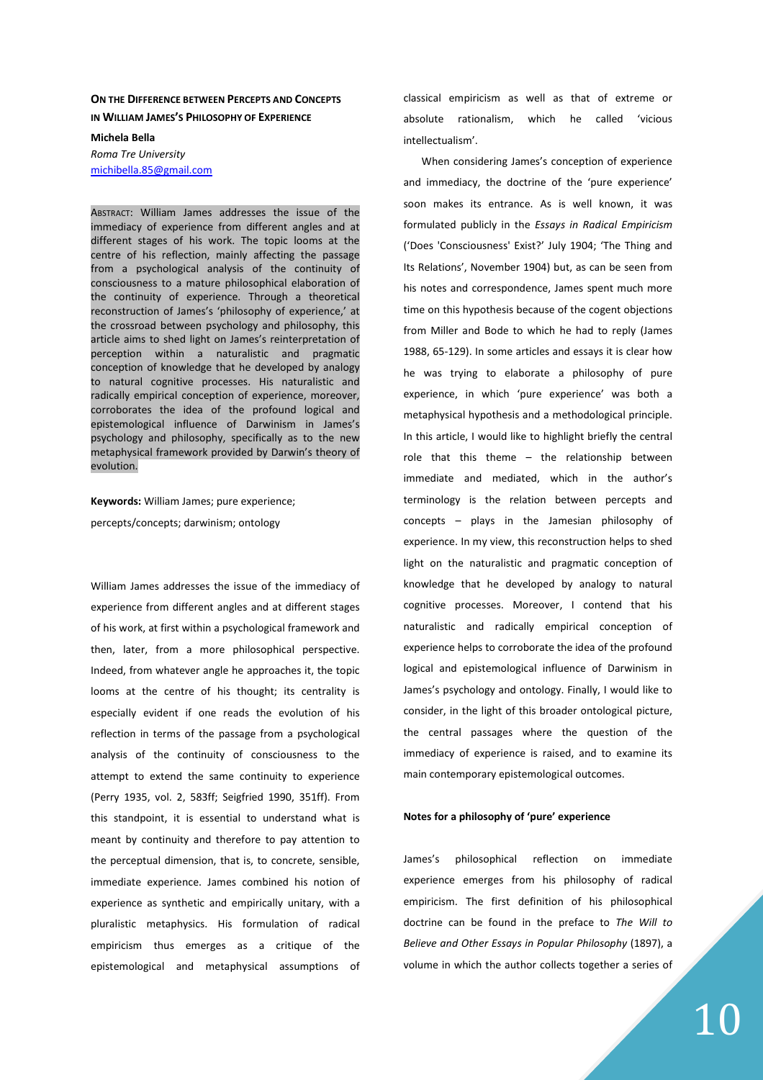# **ON THE DIFFERENCE BETWEEN PERCEPTS AND CONCEPTS IN WILLIAM JAMES'S PHILOSOPHY OF EXPERIENCE**

**Michela Bella** 

*Roma Tre University*  michibella.85@gmail.com

ABSTRACT: William James addresses the issue of the immediacy of experience from different angles and at different stages of his work. The topic looms at the centre of his reflection, mainly affecting the passage from a psychological analysis of the continuity of consciousness to a mature philosophical elaboration of the continuity of experience. Through a theoretical reconstruction of James's 'philosophy of experience,' at the crossroad between psychology and philosophy, this article aims to shed light on James's reinterpretation of perception within a naturalistic and pragmatic conception of knowledge that he developed by analogy to natural cognitive processes. His naturalistic and radically empirical conception of experience, moreover, corroborates the idea of the profound logical and epistemological influence of Darwinism in James's psychology and philosophy, specifically as to the new metaphysical framework provided by Darwin's theory of evolution.

**Keywords:** William James; pure experience; percepts/concepts; darwinism; ontology

William James addresses the issue of the immediacy of experience from different angles and at different stages of his work, at first within a psychological framework and then, later, from a more philosophical perspective. Indeed, from whatever angle he approaches it, the topic looms at the centre of his thought; its centrality is especially evident if one reads the evolution of his reflection in terms of the passage from a psychological analysis of the continuity of consciousness to the attempt to extend the same continuity to experience (Perry 1935, vol. 2, 583ff; Seigfried 1990, 351ff). From this standpoint, it is essential to understand what is meant by continuity and therefore to pay attention to the perceptual dimension, that is, to concrete, sensible, immediate experience. James combined his notion of experience as synthetic and empirically unitary, with a pluralistic metaphysics. His formulation of radical empiricism thus emerges as a critique of the epistemological and metaphysical assumptions of

classical empiricism as well as that of extreme or absolute rationalism, which he called 'vicious intellectualism'.

When considering James's conception of experience and immediacy, the doctrine of the 'pure experience' soon makes its entrance. As is well known, it was formulated publicly in the *Essays in Radical Empiricism* ('Does 'Consciousness' Exist?' July 1904; 'The Thing and Its Relations', November 1904) but, as can be seen from his notes and correspondence, James spent much more time on this hypothesis because of the cogent objections from Miller and Bode to which he had to reply (James 1988, 65-129). In some articles and essays it is clear how he was trying to elaborate a philosophy of pure experience, in which 'pure experience' was both a metaphysical hypothesis and a methodological principle. In this article, I would like to highlight briefly the central role that this theme – the relationship between immediate and mediated, which in the author's terminology is the relation between percepts and concepts – plays in the Jamesian philosophy of experience. In my view, this reconstruction helps to shed light on the naturalistic and pragmatic conception of knowledge that he developed by analogy to natural cognitive processes. Moreover, I contend that his naturalistic and radically empirical conception of experience helps to corroborate the idea of the profound logical and epistemological influence of Darwinism in James's psychology and ontology. Finally, I would like to consider, in the light of this broader ontological picture, the central passages where the question of the immediacy of experience is raised, and to examine its main contemporary epistemological outcomes.

#### **Notes for a philosophy of 'pure' experience**

James's philosophical reflection on immediate experience emerges from his philosophy of radical empiricism. The first definition of his philosophical doctrine can be found in the preface to *The Will to Believe and Other Essays in Popular Philosophy* (1897), a volume in which the author collects together a series of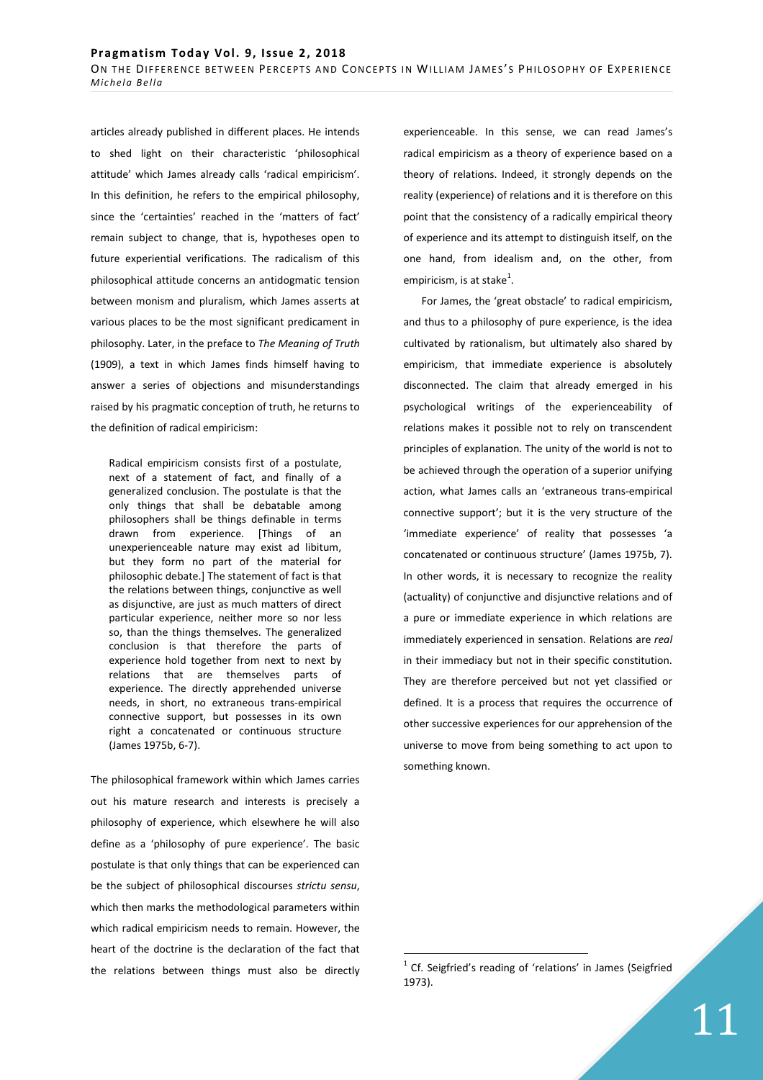articles already published in different places. He intends to shed light on their characteristic 'philosophical attitude' which James already calls 'radical empiricism'. In this definition, he refers to the empirical philosophy, since the 'certainties' reached in the 'matters of fact' remain subject to change, that is, hypotheses open to future experiential verifications. The radicalism of this philosophical attitude concerns an antidogmatic tension between monism and pluralism, which James asserts at various places to be the most significant predicament in philosophy. Later, in the preface to *The Meaning of Truth* (1909), a text in which James finds himself having to answer a series of objections and misunderstandings raised by his pragmatic conception of truth, he returns to the definition of radical empiricism:

Radical empiricism consists first of a postulate, next of a statement of fact, and finally of a generalized conclusion. The postulate is that the only things that shall be debatable among philosophers shall be things definable in terms drawn from experience. [Things of an unexperienceable nature may exist ad libitum, but they form no part of the material for philosophic debate.] The statement of fact is that the relations between things, conjunctive as well as disjunctive, are just as much matters of direct particular experience, neither more so nor less so, than the things themselves. The generalized conclusion is that therefore the parts of experience hold together from next to next by relations that are themselves parts of experience. The directly apprehended universe needs, in short, no extraneous trans-empirical connective support, but possesses in its own right a concatenated or continuous structure (James 1975b, 6-7).

The philosophical framework within which James carries out his mature research and interests is precisely a philosophy of experience, which elsewhere he will also define as a 'philosophy of pure experience'. The basic postulate is that only things that can be experienced can be the subject of philosophical discourses *strictu sensu*, which then marks the methodological parameters within which radical empiricism needs to remain. However, the heart of the doctrine is the declaration of the fact that the relations between things must also be directly

experienceable. In this sense, we can read James's radical empiricism as a theory of experience based on a theory of relations. Indeed, it strongly depends on the reality (experience) of relations and it is therefore on this point that the consistency of a radically empirical theory of experience and its attempt to distinguish itself, on the one hand, from idealism and, on the other, from empiricism, is at stake<sup>1</sup>.

For James, the 'great obstacle' to radical empiricism, and thus to a philosophy of pure experience, is the idea cultivated by rationalism, but ultimately also shared by empiricism, that immediate experience is absolutely disconnected. The claim that already emerged in his psychological writings of the experienceability of relations makes it possible not to rely on transcendent principles of explanation. The unity of the world is not to be achieved through the operation of a superior unifying action, what James calls an 'extraneous trans-empirical connective support'; but it is the very structure of the 'immediate experience' of reality that possesses 'a concatenated or continuous structure' (James 1975b, 7). In other words, it is necessary to recognize the reality (actuality) of conjunctive and disjunctive relations and of a pure or immediate experience in which relations are immediately experienced in sensation. Relations are *real* in their immediacy but not in their specific constitution. They are therefore perceived but not yet classified or defined. It is a process that requires the occurrence of other successive experiences for our apprehension of the universe to move from being something to act upon to something known.

 $1$  Cf. Seigfried's reading of 'relations' in James (Seigfried 1973).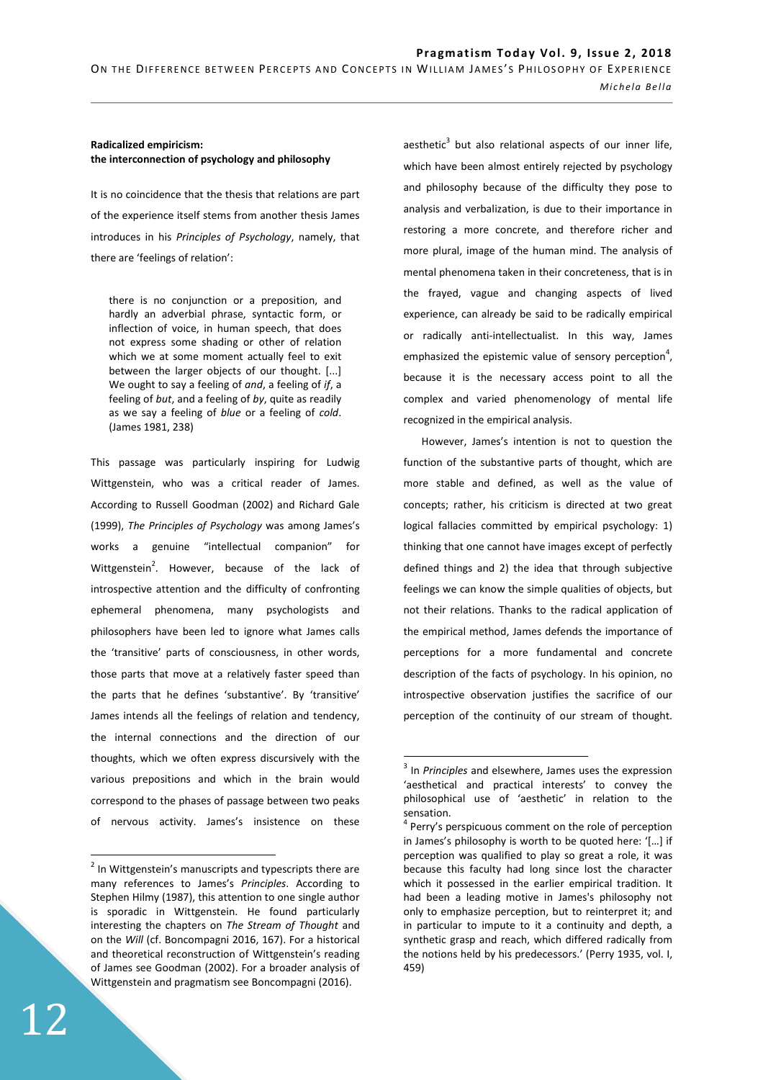ON THE DIFFERENCE BETWEEN PERCEPTS AND CONCEPTS IN WILLIAM JAMES'S PHILOSOPHY OF EXPERIENCE *M i c h e l a B e l l a* 

## **Radicalized empiricism: the interconnection of psychology and philosophy**

It is no coincidence that the thesis that relations are part of the experience itself stems from another thesis James introduces in his *Principles of Psychology*, namely, that there are 'feelings of relation':

there is no conjunction or a preposition, and hardly an adverbial phrase, syntactic form, or inflection of voice, in human speech, that does not express some shading or other of relation which we at some moment actually feel to exit between the larger objects of our thought. [...] We ought to say a feeling of *and*, a feeling of *if*, a feeling of *but*, and a feeling of *by*, quite as readily as we say a feeling of *blue* or a feeling of *cold*. (James 1981, 238)

This passage was particularly inspiring for Ludwig Wittgenstein, who was a critical reader of James. According to Russell Goodman (2002) and Richard Gale (1999), *The Principles of Psychology* was among James's works a genuine "intellectual companion" for Wittgenstein<sup>2</sup>. However, because of the lack of introspective attention and the difficulty of confronting ephemeral phenomena, many psychologists and philosophers have been led to ignore what James calls the 'transitive' parts of consciousness, in other words, those parts that move at a relatively faster speed than the parts that he defines 'substantive'. By 'transitive' James intends all the feelings of relation and tendency, the internal connections and the direction of our thoughts, which we often express discursively with the various prepositions and which in the brain would correspond to the phases of passage between two peaks of nervous activity. James's insistence on these

aesthetic<sup>3</sup> but also relational aspects of our inner life, which have been almost entirely rejected by psychology and philosophy because of the difficulty they pose to analysis and verbalization, is due to their importance in restoring a more concrete, and therefore richer and more plural, image of the human mind. The analysis of mental phenomena taken in their concreteness, that is in the frayed, vague and changing aspects of lived experience, can already be said to be radically empirical or radically anti-intellectualist. In this way, James emphasized the epistemic value of sensory perception<sup>4</sup>, because it is the necessary access point to all the complex and varied phenomenology of mental life recognized in the empirical analysis.

However, James's intention is not to question the function of the substantive parts of thought, which are more stable and defined, as well as the value of concepts; rather, his criticism is directed at two great logical fallacies committed by empirical psychology: 1) thinking that one cannot have images except of perfectly defined things and 2) the idea that through subjective feelings we can know the simple qualities of objects, but not their relations. Thanks to the radical application of the empirical method, James defends the importance of perceptions for a more fundamental and concrete description of the facts of psychology. In his opinion, no introspective observation justifies the sacrifice of our perception of the continuity of our stream of thought.

 $\overline{a}$ 

 $2$  In Wittgenstein's manuscripts and typescripts there are many references to James's *Principles*. According to Stephen Hilmy (1987), this attention to one single author is sporadic in Wittgenstein. He found particularly interesting the chapters on *The Stream of Thought* and on the *Will* (cf. Boncompagni 2016, 167). For a historical and theoretical reconstruction of Wittgenstein's reading of James see Goodman (2002). For a broader analysis of Wittgenstein and pragmatism see Boncompagni (2016).

<sup>3</sup> In *Principles* and elsewhere, James uses the expression 'aesthetical and practical interests' to convey the philosophical use of 'aesthetic' in relation to the sensation.

<sup>&</sup>lt;sup>4</sup> Perry's perspicuous comment on the role of perception in James's philosophy is worth to be quoted here: '[…] if perception was qualified to play so great a role, it was because this faculty had long since lost the character which it possessed in the earlier empirical tradition. It had been a leading motive in James's philosophy not only to emphasize perception, but to reinterpret it; and in particular to impute to it a continuity and depth, a synthetic grasp and reach, which differed radically from the notions held by his predecessors.' (Perry 1935, vol. I, 459)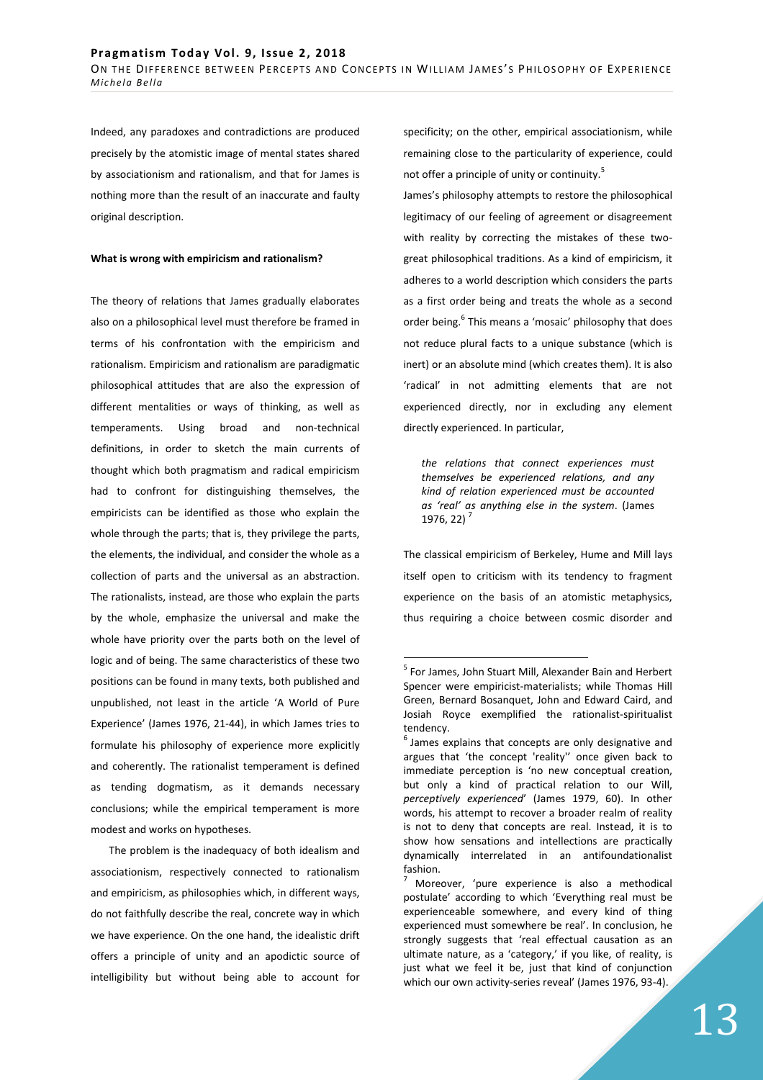Indeed, any paradoxes and contradictions are produced precisely by the atomistic image of mental states shared by associationism and rationalism, and that for James is nothing more than the result of an inaccurate and faulty original description.

#### **What is wrong with empiricism and rationalism?**

The theory of relations that James gradually elaborates also on a philosophical level must therefore be framed in terms of his confrontation with the empiricism and rationalism. Empiricism and rationalism are paradigmatic philosophical attitudes that are also the expression of different mentalities or ways of thinking, as well as temperaments. Using broad and non-technical definitions, in order to sketch the main currents of thought which both pragmatism and radical empiricism had to confront for distinguishing themselves, the empiricists can be identified as those who explain the whole through the parts; that is, they privilege the parts, the elements, the individual, and consider the whole as a collection of parts and the universal as an abstraction. The rationalists, instead, are those who explain the parts by the whole, emphasize the universal and make the whole have priority over the parts both on the level of logic and of being. The same characteristics of these two positions can be found in many texts, both published and unpublished, not least in the article 'A World of Pure Experience' (James 1976, 21-44), in which James tries to formulate his philosophy of experience more explicitly and coherently. The rationalist temperament is defined as tending dogmatism, as it demands necessary conclusions; while the empirical temperament is more modest and works on hypotheses.

The problem is the inadequacy of both idealism and associationism, respectively connected to rationalism and empiricism, as philosophies which, in different ways, do not faithfully describe the real, concrete way in which we have experience. On the one hand, the idealistic drift offers a principle of unity and an apodictic source of intelligibility but without being able to account for specificity; on the other, empirical associationism, while remaining close to the particularity of experience, could not offer a principle of unity or continuity.<sup>5</sup>

James's philosophy attempts to restore the philosophical legitimacy of our feeling of agreement or disagreement with reality by correcting the mistakes of these twogreat philosophical traditions. As a kind of empiricism, it adheres to a world description which considers the parts as a first order being and treats the whole as a second order being.<sup>6</sup> This means a 'mosaic' philosophy that does not reduce plural facts to a unique substance (which is inert) or an absolute mind (which creates them). It is also 'radical' in not admitting elements that are not experienced directly, nor in excluding any element directly experienced. In particular,

*the relations that connect experiences must themselves be experienced relations, and any kind of relation experienced must be accounted as 'real' as anything else in the system*. (James 1976, 22) $'$ 

The classical empiricism of Berkeley, Hume and Mill lays itself open to criticism with its tendency to fragment experience on the basis of an atomistic metaphysics, thus requiring a choice between cosmic disorder and

<sup>&</sup>lt;sup>5</sup> For James, John Stuart Mill, Alexander Bain and Herbert Spencer were empiricist-materialists; while Thomas Hill Green, Bernard Bosanquet, John and Edward Caird, and Josiah Royce exemplified the rationalist-spiritualist tendency.

 $<sup>6</sup>$  James explains that concepts are only designative and</sup> argues that 'the concept 'reality'' once given back to immediate perception is 'no new conceptual creation, but only a kind of practical relation to our Will, *perceptively experienced*' (James 1979, 60). In other words, his attempt to recover a broader realm of reality is not to deny that concepts are real. Instead, it is to show how sensations and intellections are practically dynamically interrelated in an antifoundationalist fashion.

<sup>7</sup> Moreover, 'pure experience is also a methodical postulate' according to which 'Everything real must be experienceable somewhere, and every kind of thing experienced must somewhere be real'. In conclusion, he strongly suggests that 'real effectual causation as an ultimate nature, as a 'category,' if you like, of reality, is just what we feel it be, just that kind of conjunction which our own activity-series reveal' (James 1976, 93-4).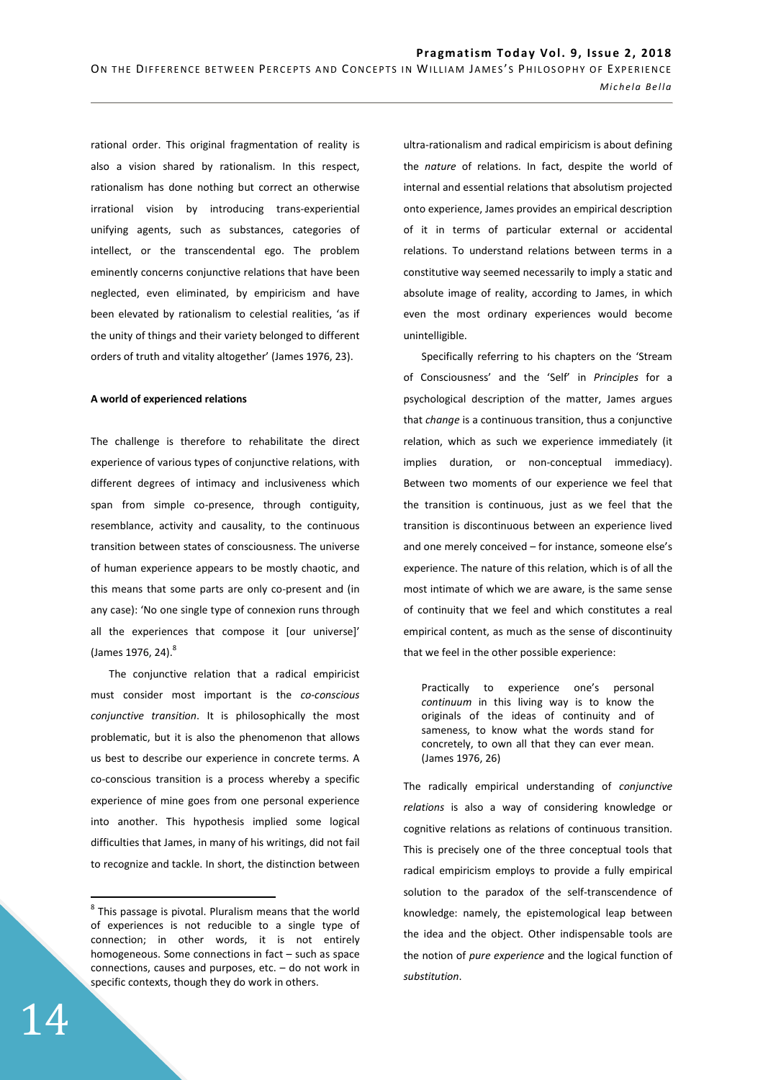rational order. This original fragmentation of reality is also a vision shared by rationalism. In this respect, rationalism has done nothing but correct an otherwise irrational vision by introducing trans-experiential unifying agents, such as substances, categories of intellect, or the transcendental ego. The problem eminently concerns conjunctive relations that have been neglected, even eliminated, by empiricism and have been elevated by rationalism to celestial realities, 'as if the unity of things and their variety belonged to different orders of truth and vitality altogether' (James 1976, 23).

#### **A world of experienced relations**

The challenge is therefore to rehabilitate the direct experience of various types of conjunctive relations, with different degrees of intimacy and inclusiveness which span from simple co-presence, through contiguity, resemblance, activity and causality, to the continuous transition between states of consciousness. The universe of human experience appears to be mostly chaotic, and this means that some parts are only co-present and (in any case): 'No one single type of connexion runs through all the experiences that compose it [our universe]' (James 1976, 24).<sup>8</sup>

The conjunctive relation that a radical empiricist must consider most important is the *co-conscious conjunctive transition*. It is philosophically the most problematic, but it is also the phenomenon that allows us best to describe our experience in concrete terms. A co-conscious transition is a process whereby a specific experience of mine goes from one personal experience into another. This hypothesis implied some logical difficulties that James, in many of his writings, did not fail to recognize and tackle. In short, the distinction between

ultra-rationalism and radical empiricism is about defining the *nature* of relations. In fact, despite the world of internal and essential relations that absolutism projected onto experience, James provides an empirical description of it in terms of particular external or accidental relations. To understand relations between terms in a constitutive way seemed necessarily to imply a static and absolute image of reality, according to James, in which even the most ordinary experiences would become unintelligible.

Specifically referring to his chapters on the 'Stream of Consciousness' and the 'Self' in *Principles* for a psychological description of the matter, James argues that *change* is a continuous transition, thus a conjunctive relation, which as such we experience immediately (it implies duration, or non-conceptual immediacy). Between two moments of our experience we feel that the transition is continuous, just as we feel that the transition is discontinuous between an experience lived and one merely conceived – for instance, someone else's experience. The nature of this relation, which is of all the most intimate of which we are aware, is the same sense of continuity that we feel and which constitutes a real empirical content, as much as the sense of discontinuity that we feel in the other possible experience:

Practically to experience one's personal *continuum* in this living way is to know the originals of the ideas of continuity and of sameness, to know what the words stand for concretely, to own all that they can ever mean. (James 1976, 26)

The radically empirical understanding of *conjunctive relations* is also a way of considering knowledge or cognitive relations as relations of continuous transition. This is precisely one of the three conceptual tools that radical empiricism employs to provide a fully empirical solution to the paradox of the self-transcendence of knowledge: namely, the epistemological leap between the idea and the object. Other indispensable tools are the notion of *pure experience* and the logical function of *substitution*.

 $8$  This passage is pivotal. Pluralism means that the world of experiences is not reducible to a single type of connection; in other words, it is not entirely homogeneous. Some connections in fact – such as space connections, causes and purposes, etc. – do not work in specific contexts, though they do work in others.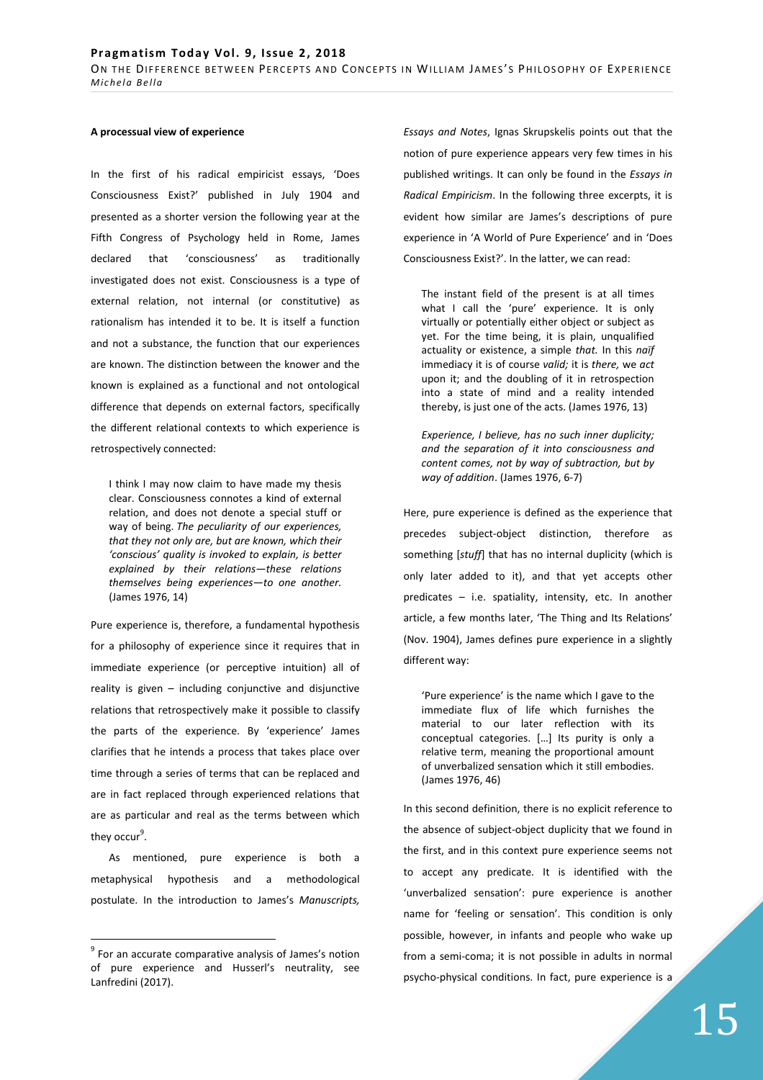#### **A processual view of experience**

In the first of his radical empiricist essays, 'Does Consciousness Exist?' published in July 1904 and presented as a shorter version the following year at the Fifth Congress of Psychology held in Rome, James declared that 'consciousness' as traditionally investigated does not exist. Consciousness is a type of external relation, not internal (or constitutive) as rationalism has intended it to be. It is itself a function and not a substance, the function that our experiences are known. The distinction between the knower and the known is explained as a functional and not ontological difference that depends on external factors, specifically the different relational contexts to which experience is retrospectively connected:

I think I may now claim to have made my thesis clear. Consciousness connotes a kind of external relation, and does not denote a special stuff or way of being. *The peculiarity of our experiences, that they not only are, but are known, which their 'conscious' quality is invoked to explain, is better explained by their relations*—*these relations themselves being experiences*—*to one another.*  (James 1976, 14)

Pure experience is, therefore, a fundamental hypothesis for a philosophy of experience since it requires that in immediate experience (or perceptive intuition) all of reality is given – including conjunctive and disjunctive relations that retrospectively make it possible to classify the parts of the experience. By 'experience' James clarifies that he intends a process that takes place over time through a series of terms that can be replaced and are in fact replaced through experienced relations that are as particular and real as the terms between which they occur<sup>9</sup>.

As mentioned, pure experience is both a metaphysical hypothesis and a methodological postulate. In the introduction to James's *Manuscripts,* 

 $\overline{a}$ 

*Essays and Notes*, Ignas Skrupskelis points out that the notion of pure experience appears very few times in his published writings. It can only be found in the *Essays in Radical Empiricism*. In the following three excerpts, it is evident how similar are James's descriptions of pure experience in 'A World of Pure Experience' and in 'Does Consciousness Exist?'. In the latter, we can read:

The instant field of the present is at all times what I call the 'pure' experience. It is only virtually or potentially either object or subject as yet. For the time being, it is plain, unqualified actuality or existence, a simple *that.* In this *naïf*  immediacy it is of course *valid;* it is *there,* we *act*  upon it; and the doubling of it in retrospection into a state of mind and a reality intended thereby, is just one of the acts. (James 1976, 13)

*Experience, I believe, has no such inner duplicity; and the separation of it into consciousness and content comes, not by way of subtraction, but by way of addition*. (James 1976, 6-7)

Here, pure experience is defined as the experience that precedes subject-object distinction, therefore as something [*stuff*] that has no internal duplicity (which is only later added to it), and that yet accepts other predicates – i.e. spatiality, intensity, etc. In another article, a few months later, 'The Thing and Its Relations' (Nov. 1904), James defines pure experience in a slightly different way:

'Pure experience' is the name which I gave to the immediate flux of life which furnishes the material to our later reflection with its conceptual categories. […] Its purity is only a relative term, meaning the proportional amount of unverbalized sensation which it still embodies. (James 1976, 46)

In this second definition, there is no explicit reference to the absence of subject-object duplicity that we found in the first, and in this context pure experience seems not to accept any predicate. It is identified with the 'unverbalized sensation': pure experience is another name for 'feeling or sensation'. This condition is only possible, however, in infants and people who wake up from a semi-coma; it is not possible in adults in normal psycho-physical conditions. In fact, pure experience is a

 $9^9$  For an accurate comparative analysis of James's notion of pure experience and Husserl's neutrality, see Lanfredini (2017).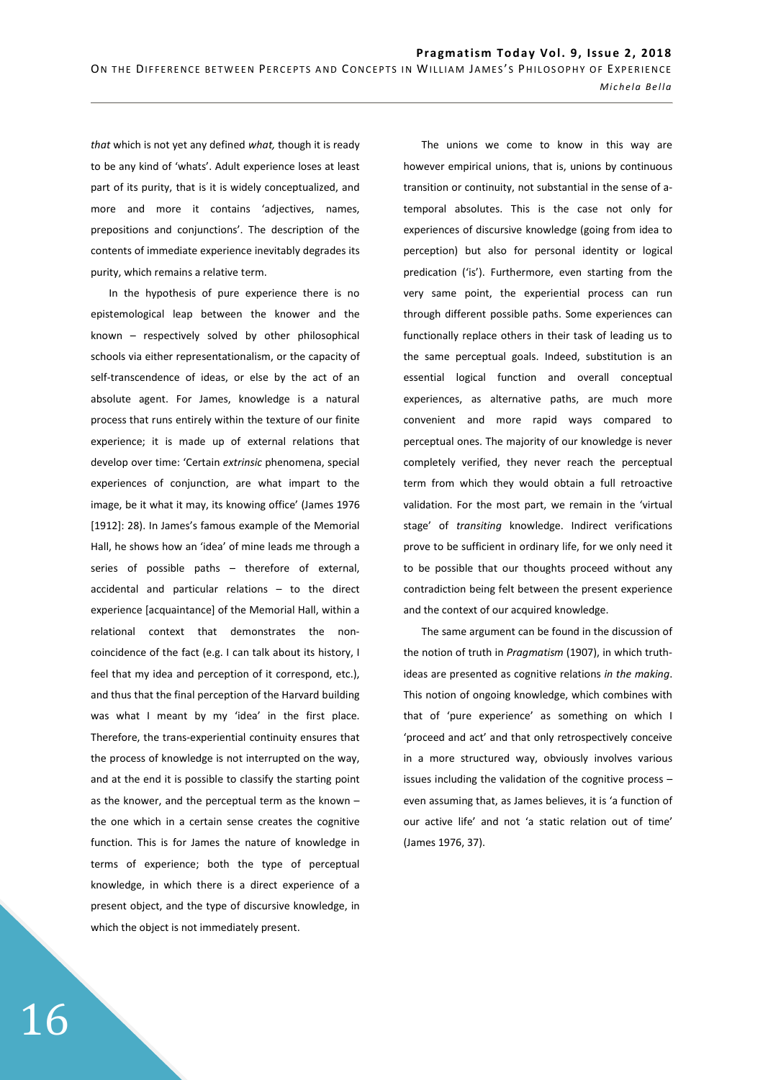*that* which is not yet any defined *what,* though it is ready to be any kind of 'whats'. Adult experience loses at least part of its purity, that is it is widely conceptualized, and more and more it contains 'adjectives, names, prepositions and conjunctions'. The description of the contents of immediate experience inevitably degrades its purity, which remains a relative term.

In the hypothesis of pure experience there is no epistemological leap between the knower and the known – respectively solved by other philosophical schools via either representationalism, or the capacity of self-transcendence of ideas, or else by the act of an absolute agent. For James, knowledge is a natural process that runs entirely within the texture of our finite experience; it is made up of external relations that develop over time: 'Certain *extrinsic* phenomena, special experiences of conjunction, are what impart to the image, be it what it may, its knowing office' (James 1976 [1912]: 28). In James's famous example of the Memorial Hall, he shows how an 'idea' of mine leads me through a series of possible paths – therefore of external, accidental and particular relations – to the direct experience [acquaintance] of the Memorial Hall, within a relational context that demonstrates the noncoincidence of the fact (e.g. I can talk about its history, I feel that my idea and perception of it correspond, etc.), and thus that the final perception of the Harvard building was what I meant by my 'idea' in the first place. Therefore, the trans-experiential continuity ensures that the process of knowledge is not interrupted on the way, and at the end it is possible to classify the starting point as the knower, and the perceptual term as the known – the one which in a certain sense creates the cognitive function. This is for James the nature of knowledge in terms of experience; both the type of perceptual knowledge, in which there is a direct experience of a present object, and the type of discursive knowledge, in which the object is not immediately present.

The unions we come to know in this way are however empirical unions, that is, unions by continuous transition or continuity, not substantial in the sense of atemporal absolutes. This is the case not only for experiences of discursive knowledge (going from idea to perception) but also for personal identity or logical predication ('is'). Furthermore, even starting from the very same point, the experiential process can run through different possible paths. Some experiences can functionally replace others in their task of leading us to the same perceptual goals. Indeed, substitution is an essential logical function and overall conceptual experiences, as alternative paths, are much more convenient and more rapid ways compared to perceptual ones. The majority of our knowledge is never completely verified, they never reach the perceptual term from which they would obtain a full retroactive validation. For the most part, we remain in the 'virtual stage' of *transiting* knowledge. Indirect verifications prove to be sufficient in ordinary life, for we only need it to be possible that our thoughts proceed without any contradiction being felt between the present experience and the context of our acquired knowledge.

The same argument can be found in the discussion of the notion of truth in *Pragmatism* (1907), in which truthideas are presented as cognitive relations *in the making*. This notion of ongoing knowledge, which combines with that of 'pure experience' as something on which I 'proceed and act' and that only retrospectively conceive in a more structured way, obviously involves various issues including the validation of the cognitive process – even assuming that, as James believes, it is 'a function of our active life' and not 'a static relation out of time' (James 1976, 37).

16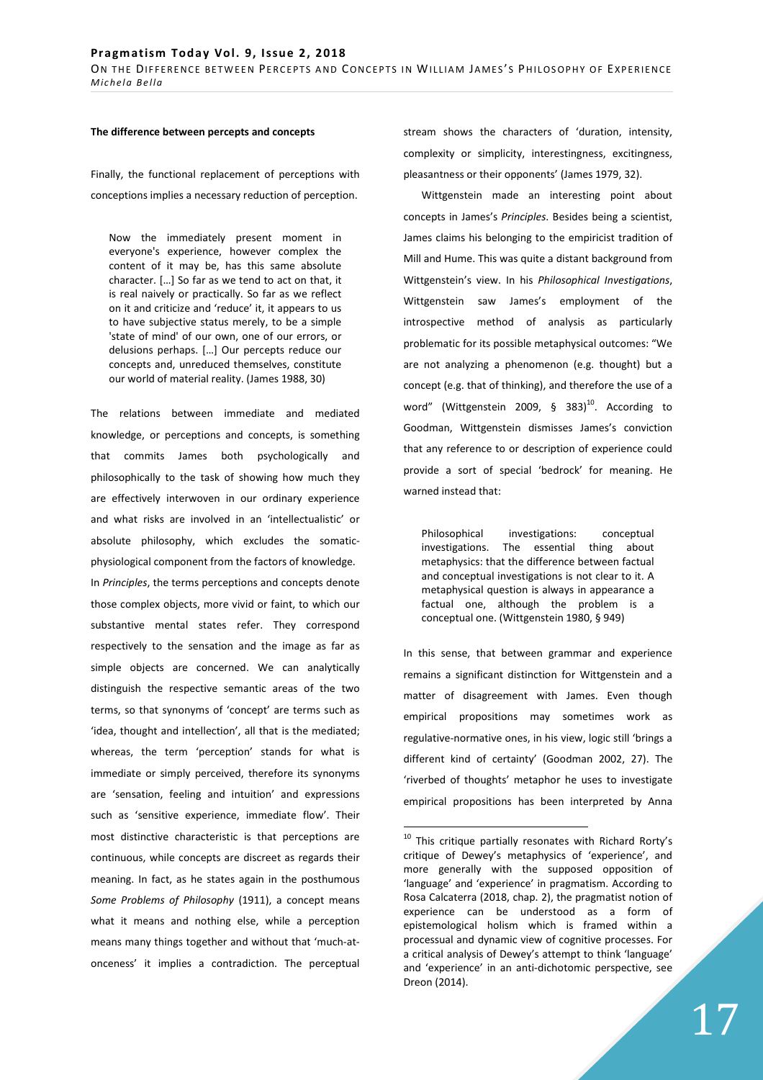#### **The difference between percepts and concepts**

Finally, the functional replacement of perceptions with conceptions implies a necessary reduction of perception.

Now the immediately present moment in everyone's experience, however complex the content of it may be, has this same absolute character. […] So far as we tend to act on that, it is real naively or practically. So far as we reflect on it and criticize and 'reduce' it, it appears to us to have subjective status merely, to be a simple 'state of mind' of our own, one of our errors, or delusions perhaps. […] Our percepts reduce our concepts and, unreduced themselves, constitute our world of material reality. (James 1988, 30)

The relations between immediate and mediated knowledge, or perceptions and concepts, is something that commits James both psychologically and philosophically to the task of showing how much they are effectively interwoven in our ordinary experience and what risks are involved in an 'intellectualistic' or absolute philosophy, which excludes the somaticphysiological component from the factors of knowledge. In *Principles*, the terms perceptions and concepts denote those complex objects, more vivid or faint, to which our substantive mental states refer. They correspond respectively to the sensation and the image as far as simple objects are concerned. We can analytically distinguish the respective semantic areas of the two terms, so that synonyms of 'concept' are terms such as 'idea, thought and intellection', all that is the mediated; whereas, the term 'perception' stands for what is immediate or simply perceived, therefore its synonyms are 'sensation, feeling and intuition' and expressions such as 'sensitive experience, immediate flow'. Their most distinctive characteristic is that perceptions are continuous, while concepts are discreet as regards their meaning. In fact, as he states again in the posthumous *Some Problems of Philosophy* (1911), a concept means what it means and nothing else, while a perception means many things together and without that 'much-atonceness' it implies a contradiction. The perceptual

stream shows the characters of 'duration, intensity, complexity or simplicity, interestingness, excitingness, pleasantness or their opponents' (James 1979, 32).

Wittgenstein made an interesting point about concepts in James's *Principles*. Besides being a scientist, James claims his belonging to the empiricist tradition of Mill and Hume. This was quite a distant background from Wittgenstein's view. In his *Philosophical Investigations*, Wittgenstein saw James's employment of the introspective method of analysis as particularly problematic for its possible metaphysical outcomes: "We are not analyzing a phenomenon (e.g. thought) but a concept (e.g. that of thinking), and therefore the use of a word" (Wittgenstein 2009, § 383)<sup>10</sup>. According to Goodman, Wittgenstein dismisses James's conviction that any reference to or description of experience could provide a sort of special 'bedrock' for meaning. He warned instead that:

Philosophical investigations: conceptual investigations. The essential thing about metaphysics: that the difference between factual and conceptual investigations is not clear to it. A metaphysical question is always in appearance a factual one, although the problem is a conceptual one. (Wittgenstein 1980, § 949)

In this sense, that between grammar and experience remains a significant distinction for Wittgenstein and a matter of disagreement with James. Even though empirical propositions may sometimes work as regulative-normative ones, in his view, logic still 'brings a different kind of certainty' (Goodman 2002, 27). The 'riverbed of thoughts' metaphor he uses to investigate empirical propositions has been interpreted by Anna

<sup>&</sup>lt;sup>10</sup> This critique partially resonates with Richard Rorty's critique of Dewey's metaphysics of 'experience', and more generally with the supposed opposition of 'language' and 'experience' in pragmatism. According to Rosa Calcaterra (2018, chap. 2), the pragmatist notion of experience can be understood as a form of epistemological holism which is framed within a processual and dynamic view of cognitive processes. For a critical analysis of Dewey's attempt to think 'language' and 'experience' in an anti-dichotomic perspective, see Dreon (2014).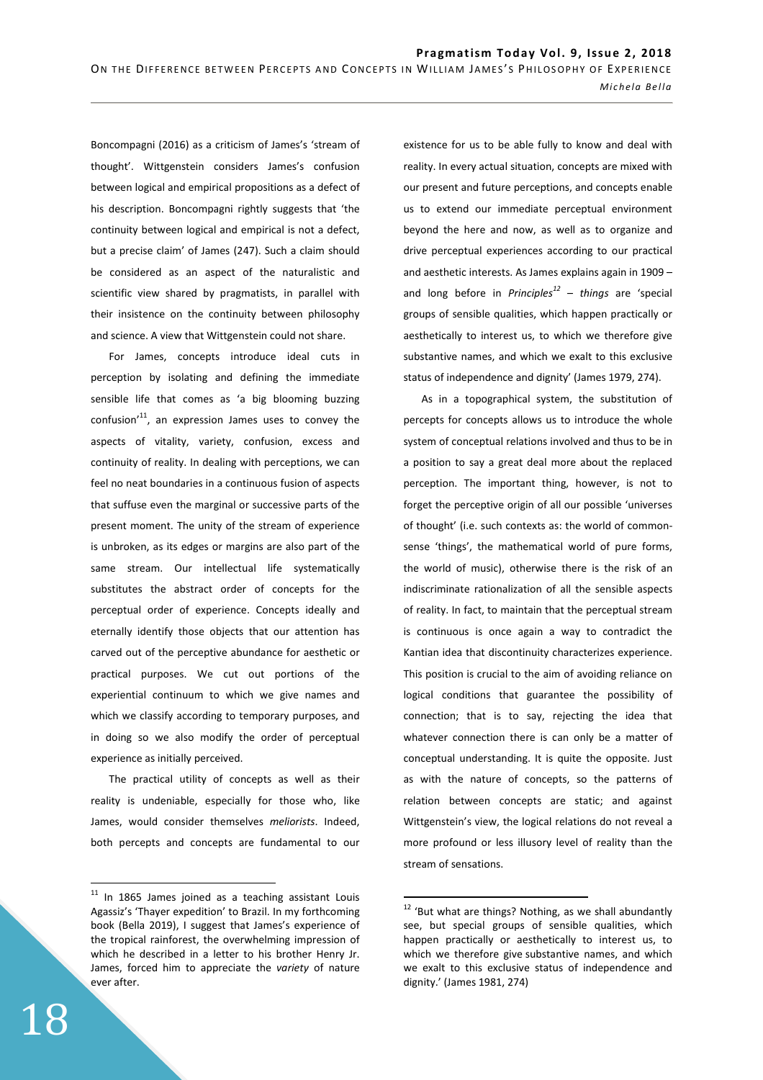Boncompagni (2016) as a criticism of James's 'stream of thought'. Wittgenstein considers James's confusion between logical and empirical propositions as a defect of his description. Boncompagni rightly suggests that 'the continuity between logical and empirical is not a defect, but a precise claim' of James (247). Such a claim should be considered as an aspect of the naturalistic and scientific view shared by pragmatists, in parallel with their insistence on the continuity between philosophy and science. A view that Wittgenstein could not share.

For James, concepts introduce ideal cuts in perception by isolating and defining the immediate sensible life that comes as 'a big blooming buzzing confusion'<sup>11</sup>, an expression James uses to convey the aspects of vitality, variety, confusion, excess and continuity of reality. In dealing with perceptions, we can feel no neat boundaries in a continuous fusion of aspects that suffuse even the marginal or successive parts of the present moment. The unity of the stream of experience is unbroken, as its edges or margins are also part of the same stream. Our intellectual life systematically substitutes the abstract order of concepts for the perceptual order of experience. Concepts ideally and eternally identify those objects that our attention has carved out of the perceptive abundance for aesthetic or practical purposes. We cut out portions of the experiential continuum to which we give names and which we classify according to temporary purposes, and in doing so we also modify the order of perceptual experience as initially perceived.

The practical utility of concepts as well as their reality is undeniable, especially for those who, like James, would consider themselves *meliorists*. Indeed, both percepts and concepts are fundamental to our

existence for us to be able fully to know and deal with reality. In every actual situation, concepts are mixed with our present and future perceptions, and concepts enable us to extend our immediate perceptual environment beyond the here and now, as well as to organize and drive perceptual experiences according to our practical and aesthetic interests. As James explains again in 1909 – and long before in *Principles<sup>12</sup>* – *things* are 'special groups of sensible qualities, which happen practically or aesthetically to interest us, to which we therefore give substantive names, and which we exalt to this exclusive status of independence and dignity' (James 1979, 274).

As in a topographical system, the substitution of percepts for concepts allows us to introduce the whole system of conceptual relations involved and thus to be in a position to say a great deal more about the replaced perception. The important thing, however, is not to forget the perceptive origin of all our possible 'universes of thought' (i.e. such contexts as: the world of commonsense 'things', the mathematical world of pure forms, the world of music), otherwise there is the risk of an indiscriminate rationalization of all the sensible aspects of reality. In fact, to maintain that the perceptual stream is continuous is once again a way to contradict the Kantian idea that discontinuity characterizes experience. This position is crucial to the aim of avoiding reliance on logical conditions that guarantee the possibility of connection; that is to say, rejecting the idea that whatever connection there is can only be a matter of conceptual understanding. It is quite the opposite. Just as with the nature of concepts, so the patterns of relation between concepts are static; and against Wittgenstein's view, the logical relations do not reveal a more profound or less illusory level of reality than the stream of sensations.

 $\overline{a}$ 

 $11$  In 1865 James joined as a teaching assistant Louis Agassiz's 'Thayer expedition' to Brazil. In my forthcoming book (Bella 2019), I suggest that James's experience of the tropical rainforest, the overwhelming impression of which he described in a letter to his brother Henry Jr. James, forced him to appreciate the *variety* of nature ever after.

<sup>&</sup>lt;sup>12</sup> 'But what are things? Nothing, as we shall abundantly see, but special groups of sensible qualities, which happen practically or aesthetically to interest us, to which we therefore give substantive names, and which we exalt to this exclusive status of independence and dignity.' (James 1981, 274)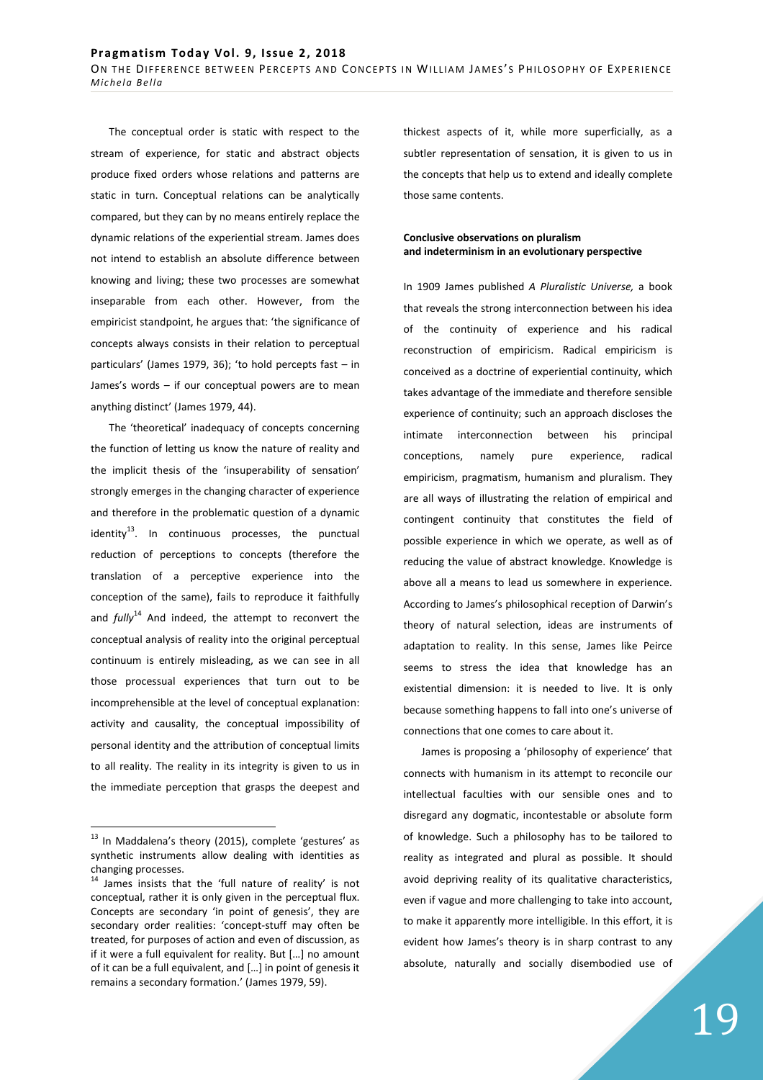The conceptual order is static with respect to the stream of experience, for static and abstract objects produce fixed orders whose relations and patterns are static in turn. Conceptual relations can be analytically compared, but they can by no means entirely replace the dynamic relations of the experiential stream. James does not intend to establish an absolute difference between knowing and living; these two processes are somewhat inseparable from each other. However, from the empiricist standpoint, he argues that: 'the significance of concepts always consists in their relation to perceptual particulars' (James 1979, 36); 'to hold percepts fast – in James's words – if our conceptual powers are to mean anything distinct' (James 1979, 44).

The 'theoretical' inadequacy of concepts concerning the function of letting us know the nature of reality and the implicit thesis of the 'insuperability of sensation' strongly emerges in the changing character of experience and therefore in the problematic question of a dynamic identity $^{13}$ . In continuous processes, the punctual reduction of perceptions to concepts (therefore the translation of a perceptive experience into the conception of the same), fails to reproduce it faithfully and *fully*<sup>14</sup> And indeed, the attempt to reconvert the conceptual analysis of reality into the original perceptual continuum is entirely misleading, as we can see in all those processual experiences that turn out to be incomprehensible at the level of conceptual explanation: activity and causality, the conceptual impossibility of personal identity and the attribution of conceptual limits to all reality. The reality in its integrity is given to us in the immediate perception that grasps the deepest and

 $\overline{a}$ 

thickest aspects of it, while more superficially, as a subtler representation of sensation, it is given to us in the concepts that help us to extend and ideally complete those same contents.

## **Conclusive observations on pluralism and indeterminism in an evolutionary perspective**

In 1909 James published *A Pluralistic Universe,* a book that reveals the strong interconnection between his idea of the continuity of experience and his radical reconstruction of empiricism. Radical empiricism is conceived as a doctrine of experiential continuity, which takes advantage of the immediate and therefore sensible experience of continuity; such an approach discloses the intimate interconnection between his principal conceptions, namely pure experience, radical empiricism, pragmatism, humanism and pluralism. They are all ways of illustrating the relation of empirical and contingent continuity that constitutes the field of possible experience in which we operate, as well as of reducing the value of abstract knowledge. Knowledge is above all a means to lead us somewhere in experience. According to James's philosophical reception of Darwin's theory of natural selection, ideas are instruments of adaptation to reality. In this sense, James like Peirce seems to stress the idea that knowledge has an existential dimension: it is needed to live. It is only because something happens to fall into one's universe of connections that one comes to care about it.

James is proposing a 'philosophy of experience' that connects with humanism in its attempt to reconcile our intellectual faculties with our sensible ones and to disregard any dogmatic, incontestable or absolute form of knowledge. Such a philosophy has to be tailored to reality as integrated and plural as possible. It should avoid depriving reality of its qualitative characteristics, even if vague and more challenging to take into account, to make it apparently more intelligible. In this effort, it is evident how James's theory is in sharp contrast to any absolute, naturally and socially disembodied use of

 $13$  In Maddalena's theory (2015), complete 'gestures' as synthetic instruments allow dealing with identities as changing processes.

<sup>&</sup>lt;sup>14</sup> James insists that the 'full nature of reality' is not conceptual, rather it is only given in the perceptual flux. Concepts are secondary 'in point of genesis', they are secondary order realities: 'concept-stuff may often be treated, for purposes of action and even of discussion, as if it were a full equivalent for reality. But […] no amount of it can be a full equivalent, and […] in point of genesis it remains a secondary formation.' (James 1979, 59).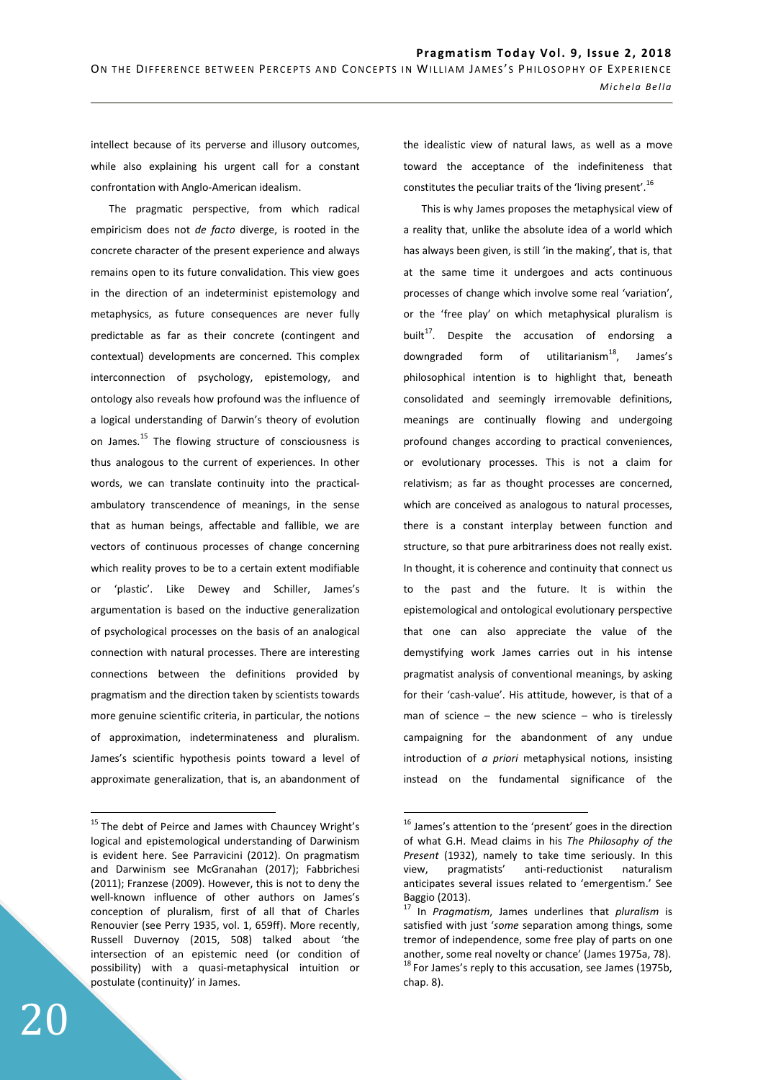intellect because of its perverse and illusory outcomes, while also explaining his urgent call for a constant confrontation with Anglo-American idealism.

The pragmatic perspective, from which radical empiricism does not *de facto* diverge, is rooted in the concrete character of the present experience and always remains open to its future convalidation. This view goes in the direction of an indeterminist epistemology and metaphysics, as future consequences are never fully predictable as far as their concrete (contingent and contextual) developments are concerned. This complex interconnection of psychology, epistemology, and ontology also reveals how profound was the influence of a logical understanding of Darwin's theory of evolution on James.<sup>15</sup> The flowing structure of consciousness is thus analogous to the current of experiences. In other words, we can translate continuity into the practicalambulatory transcendence of meanings, in the sense that as human beings, affectable and fallible, we are vectors of continuous processes of change concerning which reality proves to be to a certain extent modifiable or 'plastic'. Like Dewey and Schiller, James's argumentation is based on the inductive generalization of psychological processes on the basis of an analogical connection with natural processes. There are interesting connections between the definitions provided by pragmatism and the direction taken by scientists towards more genuine scientific criteria, in particular, the notions of approximation, indeterminateness and pluralism. James's scientific hypothesis points toward a level of approximate generalization, that is, an abandonment of

the idealistic view of natural laws, as well as a move toward the acceptance of the indefiniteness that constitutes the peculiar traits of the 'living present'.<sup>16</sup>

This is why James proposes the metaphysical view of a reality that, unlike the absolute idea of a world which has always been given, is still 'in the making', that is, that at the same time it undergoes and acts continuous processes of change which involve some real 'variation', or the 'free play' on which metaphysical pluralism is built $^{17}$ . Despite the accusation of endorsing a downgraded form of utilitarianism<sup>18</sup>, James's philosophical intention is to highlight that, beneath consolidated and seemingly irremovable definitions, meanings are continually flowing and undergoing profound changes according to practical conveniences, or evolutionary processes. This is not a claim for relativism; as far as thought processes are concerned, which are conceived as analogous to natural processes, there is a constant interplay between function and structure, so that pure arbitrariness does not really exist. In thought, it is coherence and continuity that connect us to the past and the future. It is within the epistemological and ontological evolutionary perspective that one can also appreciate the value of the demystifying work James carries out in his intense pragmatist analysis of conventional meanings, by asking for their 'cash-value'. His attitude, however, is that of a man of science  $-$  the new science  $-$  who is tirelessly campaigning for the abandonment of any undue introduction of *a priori* metaphysical notions, insisting instead on the fundamental significance of the

 $\overline{a}$ 

<sup>&</sup>lt;sup>15</sup> The debt of Peirce and James with Chauncey Wright's logical and epistemological understanding of Darwinism is evident here. See Parravicini (2012). On pragmatism and Darwinism see McGranahan (2017); Fabbrichesi (2011); Franzese (2009). However, this is not to deny the well-known influence of other authors on James's conception of pluralism, first of all that of Charles Renouvier (see Perry 1935, vol. 1, 659ff). More recently, Russell Duvernoy (2015, 508) talked about 'the intersection of an epistemic need (or condition of possibility) with a quasi-metaphysical intuition or postulate (continuity)' in James.

<sup>&</sup>lt;sup>16</sup> James's attention to the 'present' goes in the direction of what G.H. Mead claims in his *The Philosophy of the Present* (1932), namely to take time seriously. In this view, pragmatists' anti-reductionist naturalism anticipates several issues related to 'emergentism.' See Baggio (2013).

<sup>17</sup> In *Pragmatism*, James underlines that *pluralism* is satisfied with just '*some* separation among things, some tremor of independence, some free play of parts on one another, some real novelty or chance' (James 1975a, 78).  $^{18}$  For James's reply to this accusation, see James (1975b, chap. 8).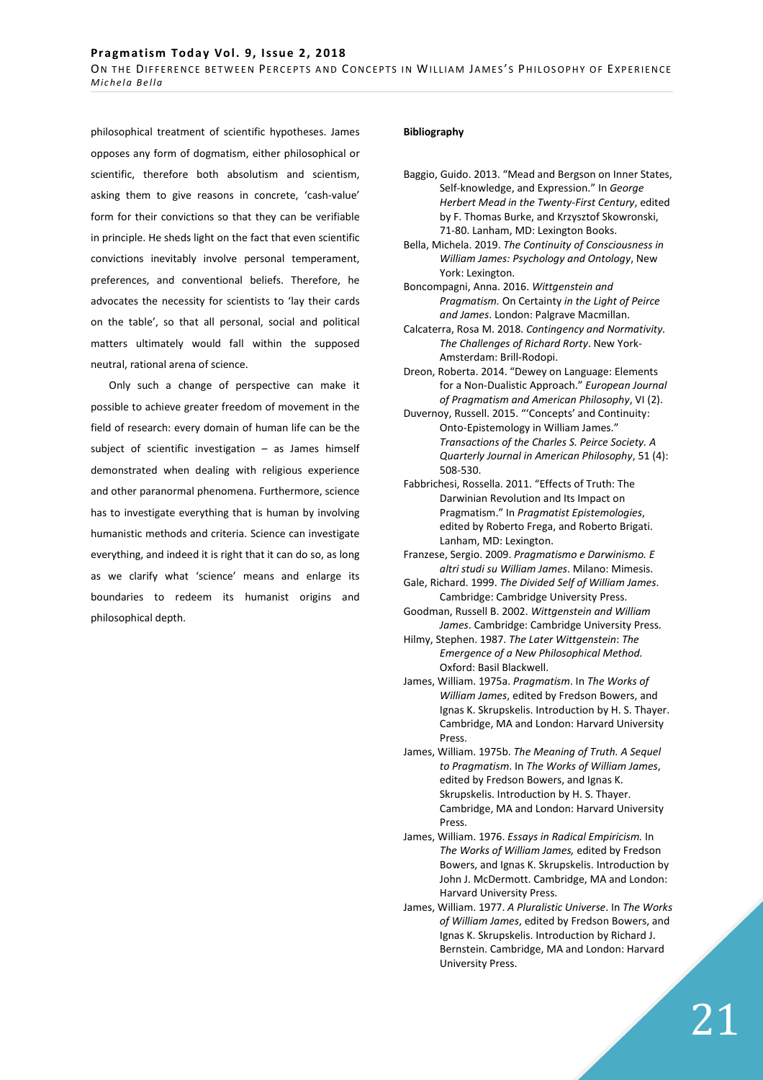philosophical treatment of scientific hypotheses. James opposes any form of dogmatism, either philosophical or scientific, therefore both absolutism and scientism, asking them to give reasons in concrete, 'cash-value' form for their convictions so that they can be verifiable in principle. He sheds light on the fact that even scientific convictions inevitably involve personal temperament, preferences, and conventional beliefs. Therefore, he advocates the necessity for scientists to 'lay their cards on the table', so that all personal, social and political matters ultimately would fall within the supposed neutral, rational arena of science.

Only such a change of perspective can make it possible to achieve greater freedom of movement in the field of research: every domain of human life can be the subject of scientific investigation – as James himself demonstrated when dealing with religious experience and other paranormal phenomena. Furthermore, science has to investigate everything that is human by involving humanistic methods and criteria. Science can investigate everything, and indeed it is right that it can do so, as long as we clarify what 'science' means and enlarge its boundaries to redeem its humanist origins and philosophical depth.

#### **Bibliography**

- Bella, Michela. 2019. *The Continuity of Consciousness in William James: Psychology and Ontology*, New York: Lexington.
- Boncompagni, Anna. 2016. *Wittgenstein and Pragmatism.* On Certainty *in the Light of Peirce and James*. London: Palgrave Macmillan.
- Calcaterra, Rosa M. 2018. *Contingency and Normativity. The Challenges of Richard Rorty*. New York-Amsterdam: Brill-Rodopi.
- Dreon, Roberta. 2014. "Dewey on Language: Elements for a Non-Dualistic Approach." *European Journal of Pragmatism and American Philosophy*, VI (2).
- Duvernoy, Russell. 2015. "'Concepts' and Continuity: Onto-Epistemology in William James." *Transactions of the Charles S. Peirce Society. A Quarterly Journal in American Philosophy*, 51 (4): 508-530.
- Fabbrichesi, Rossella. 2011. "Effects of Truth: The Darwinian Revolution and Its Impact on Pragmatism." In *Pragmatist Epistemologies*, edited by Roberto Frega, and Roberto Brigati. Lanham, MD: Lexington.
- Franzese, Sergio. 2009. *Pragmatismo e Darwinismo. E altri studi su William James*. Milano: Mimesis.
- Gale, Richard. 1999. *The Divided Self of William James*. Cambridge: Cambridge University Press.
- Goodman, Russell B. 2002. *Wittgenstein and William James*. Cambridge: Cambridge University Press.
- Hilmy, Stephen. 1987. *The Later Wittgenstein*: *The Emergence of a New Philosophical Method.* Oxford: Basil Blackwell.
- James, William. 1975a. *Pragmatism*. In *The Works of William James*, edited by Fredson Bowers, and Ignas K. Skrupskelis. Introduction by H. S. Thayer. Cambridge, MA and London: Harvard University Press.
- James, William. 1975b. *The Meaning of Truth. A Sequel to Pragmatism*. In *The Works of William James*, edited by Fredson Bowers, and Ignas K. Skrupskelis. Introduction by H. S. Thayer. Cambridge, MA and London: Harvard University Press.
- James, William. 1976. *Essays in Radical Empiricism.* In *The Works of William James,* edited by Fredson Bowers, and Ignas K. Skrupskelis. Introduction by John J. McDermott. Cambridge, MA and London: Harvard University Press.
- James, William. 1977. *A Pluralistic Universe*. In *The Works of William James*, edited by Fredson Bowers, and Ignas K. Skrupskelis. Introduction by Richard J. Bernstein. Cambridge, MA and London: Harvard University Press.

Baggio, Guido. 2013. "Mead and Bergson on Inner States, Self-knowledge, and Expression." In *George Herbert Mead in the Twenty-First Century*, edited by F. Thomas Burke, and Krzysztof Skowronski, 71-80. Lanham, MD: Lexington Books.